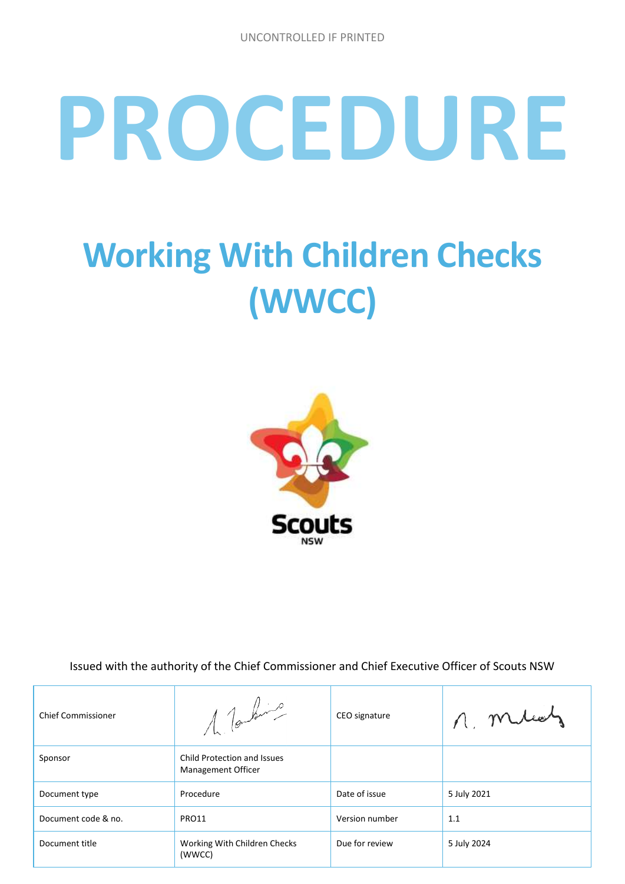# **PROCEDURE**

# **Working With Children Checks (WWCC)**



Issued with the authority of the Chief Commissioner and Chief Executive Officer of Scouts NSW

| <b>Chief Commissioner</b> | 1 Touting                                                | CEO signature  | n. mileat   |
|---------------------------|----------------------------------------------------------|----------------|-------------|
| Sponsor                   | Child Protection and Issues<br><b>Management Officer</b> |                |             |
| Document type             | Procedure                                                | Date of issue  | 5 July 2021 |
| Document code & no.       | PRO11                                                    | Version number | 1.1         |
| Document title            | Working With Children Checks<br>(WWCC)                   | Due for review | 5 July 2024 |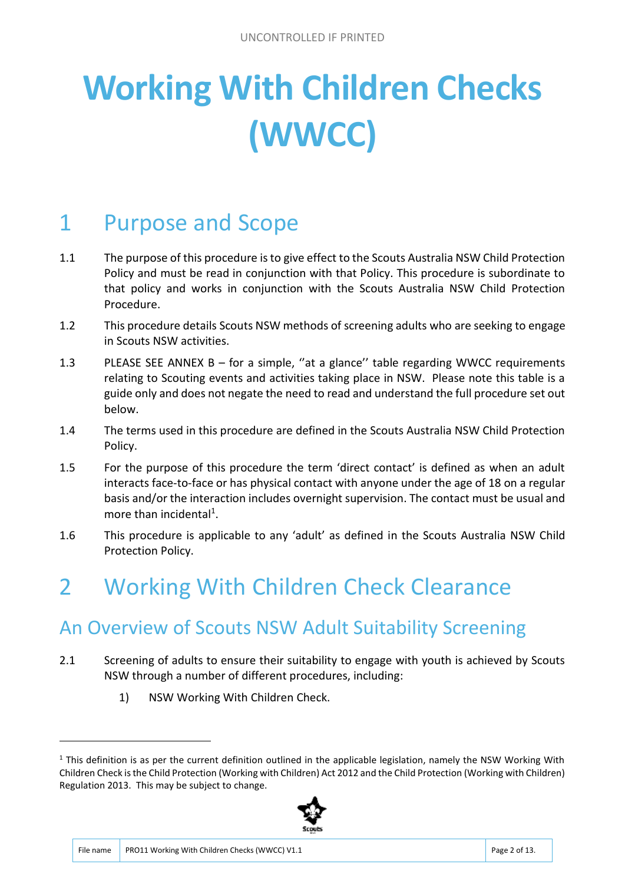# **Working With Children Checks (WWCC)**

# 1 Purpose and Scope

- 1.1 The purpose of this procedure is to give effect to the Scouts Australia NSW Child Protection Policy and must be read in conjunction with that Policy. This procedure is subordinate to that policy and works in conjunction with the Scouts Australia NSW Child Protection Procedure.
- 1.2 This procedure details Scouts NSW methods of screening adults who are seeking to engage in Scouts NSW activities.
- 1.3 PLEASE SEE ANNEX B for a simple, ''at a glance'' table regarding WWCC requirements relating to Scouting events and activities taking place in NSW. Please note this table is a guide only and does not negate the need to read and understand the full procedure set out below.
- 1.4 The terms used in this procedure are defined in the Scouts Australia NSW Child Protection Policy.
- 1.5 For the purpose of this procedure the term 'direct contact' is defined as when an adult interacts face-to-face or has physical contact with anyone under the age of 18 on a regular basis and/or the interaction includes overnight supervision. The contact must be usual and more than incidental<sup>1</sup>.
- 1.6 This procedure is applicable to any 'adult' as defined in the Scouts Australia NSW Child Protection Policy.

## 2 Working With Children Check Clearance

#### An Overview of Scouts NSW Adult Suitability Screening

- 2.1 Screening of adults to ensure their suitability to engage with youth is achieved by Scouts NSW through a number of different procedures, including:
	- 1) NSW Working With Children Check.

 $1$  This definition is as per the current definition outlined in the applicable legislation, namely the NSW Working With Children Check is the Child Protection (Working with Children) Act 2012 and the Child Protection (Working with Children) Regulation 2013. This may be subject to change.



1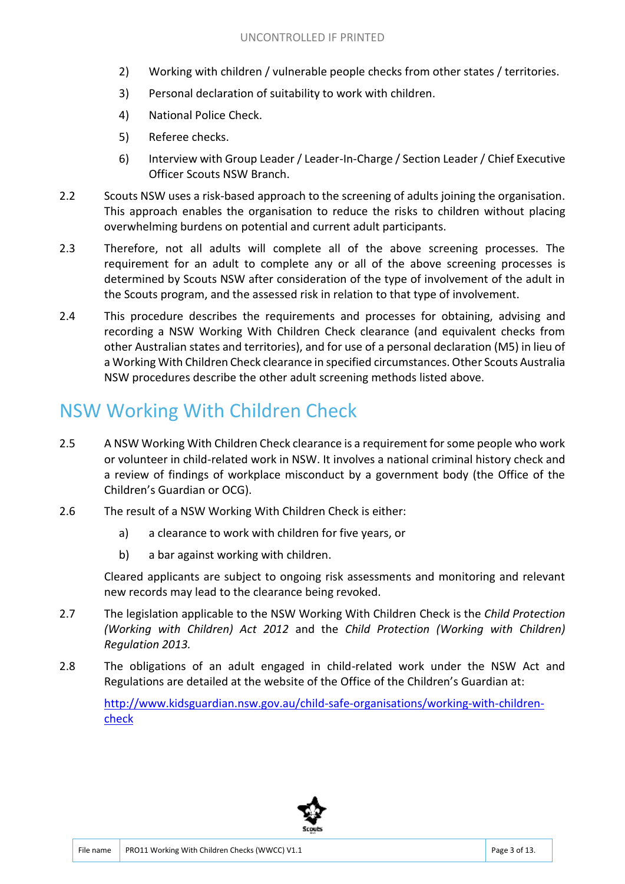- 2) Working with children / vulnerable people checks from other states / territories.
- 3) Personal declaration of suitability to work with children.
- 4) National Police Check.
- 5) Referee checks.
- 6) Interview with Group Leader / Leader-In-Charge / Section Leader / Chief Executive Officer Scouts NSW Branch.
- 2.2 Scouts NSW uses a risk-based approach to the screening of adults joining the organisation. This approach enables the organisation to reduce the risks to children without placing overwhelming burdens on potential and current adult participants.
- 2.3 Therefore, not all adults will complete all of the above screening processes. The requirement for an adult to complete any or all of the above screening processes is determined by Scouts NSW after consideration of the type of involvement of the adult in the Scouts program, and the assessed risk in relation to that type of involvement.
- 2.4 This procedure describes the requirements and processes for obtaining, advising and recording a NSW Working With Children Check clearance (and equivalent checks from other Australian states and territories), and for use of a personal declaration (M5) in lieu of a Working With Children Check clearance in specified circumstances. Other Scouts Australia NSW procedures describe the other adult screening methods listed above.

#### NSW Working With Children Check

- 2.5 A NSW Working With Children Check clearance is a requirement for some people who work or volunteer in child-related work in NSW. It involves a national criminal history check and a review of findings of workplace misconduct by a government body (the Office of the Children's Guardian or OCG).
- 2.6 The result of a NSW Working With Children Check is either:
	- a) a clearance to work with children for five years, or
	- b) a bar against working with children.

Cleared applicants are subject to ongoing risk assessments and monitoring and relevant new records may lead to the clearance being revoked.

- 2.7 The legislation applicable to the NSW Working With Children Check is the *Child Protection (Working with Children) Act 2012* and the *Child Protection (Working with Children) Regulation 2013.*
- 2.8 The obligations of an adult engaged in child-related work under the NSW Act and Regulations are detailed at the website of the Office of the Children's Guardian at:

http://www.kidsguardian.nsw.gov.au/child-safe-organisations/working-with-childrencheck

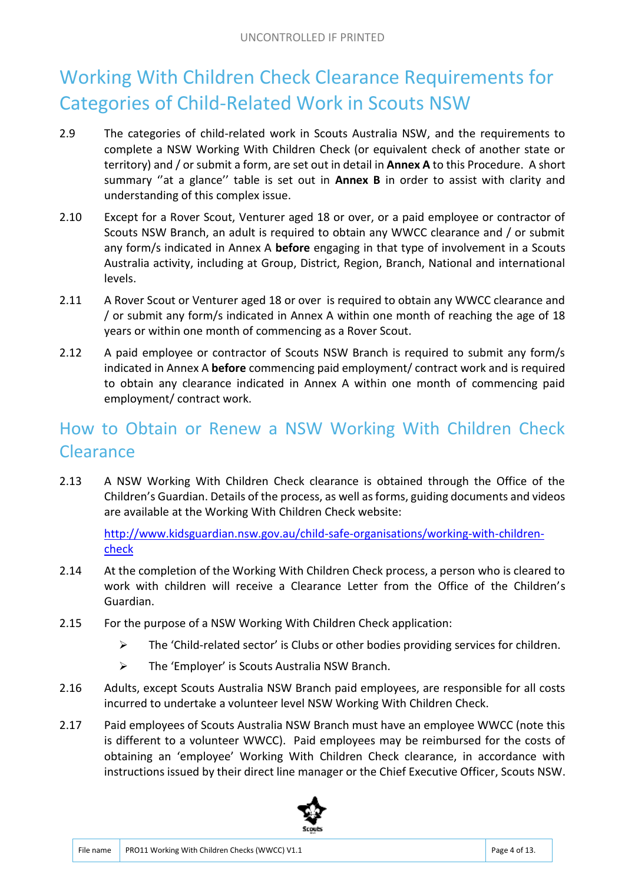#### Working With Children Check Clearance Requirements for Categories of Child-Related Work in Scouts NSW

- 2.9 The categories of child-related work in Scouts Australia NSW, and the requirements to complete a NSW Working With Children Check (or equivalent check of another state or territory) and / or submit a form, are set out in detail in **Annex A** to this Procedure. A short summary ''at a glance'' table is set out in **Annex B** in order to assist with clarity and understanding of this complex issue.
- 2.10 Except for a Rover Scout, Venturer aged 18 or over, or a paid employee or contractor of Scouts NSW Branch, an adult is required to obtain any WWCC clearance and / or submit any form/s indicated in Annex A **before** engaging in that type of involvement in a Scouts Australia activity, including at Group, District, Region, Branch, National and international levels.
- 2.11 A Rover Scout or Venturer aged 18 or over is required to obtain any WWCC clearance and / or submit any form/s indicated in Annex A within one month of reaching the age of 18 years or within one month of commencing as a Rover Scout.
- 2.12 A paid employee or contractor of Scouts NSW Branch is required to submit any form/s indicated in Annex A **before** commencing paid employment/ contract work and is required to obtain any clearance indicated in Annex A within one month of commencing paid employment/ contract work.

#### How to Obtain or Renew a NSW Working With Children Check **Clearance**

2.13 A NSW Working With Children Check clearance is obtained through the Office of the Children's Guardian. Details of the process, as well as forms, guiding documents and videos are available at the Working With Children Check website:

http://www.kidsguardian.nsw.gov.au/child-safe-organisations/working-with-childrencheck

- 2.14 At the completion of the Working With Children Check process, a person who is cleared to work with children will receive a Clearance Letter from the Office of the Children's Guardian.
- 2.15 For the purpose of a NSW Working With Children Check application:
	- $\triangleright$  The 'Child-related sector' is Clubs or other bodies providing services for children.
	- $\triangleright$  The 'Employer' is Scouts Australia NSW Branch.
- 2.16 Adults, except Scouts Australia NSW Branch paid employees, are responsible for all costs incurred to undertake a volunteer level NSW Working With Children Check.
- 2.17 Paid employees of Scouts Australia NSW Branch must have an employee WWCC (note this is different to a volunteer WWCC). Paid employees may be reimbursed for the costs of obtaining an 'employee' Working With Children Check clearance, in accordance with instructions issued by their direct line manager or the Chief Executive Officer, Scouts NSW.

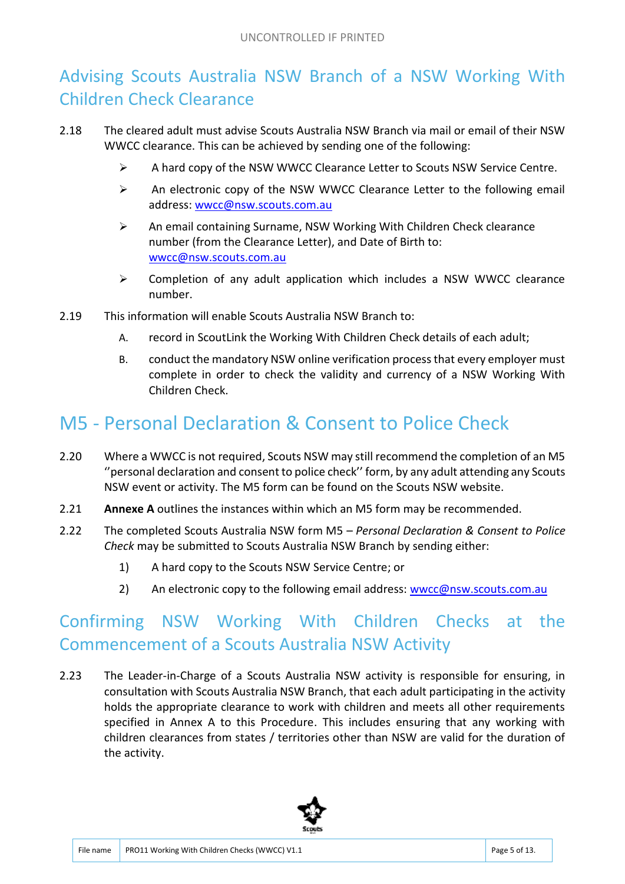#### Advising Scouts Australia NSW Branch of a NSW Working With Children Check Clearance

- 2.18 The cleared adult must advise Scouts Australia NSW Branch via mail or email of their NSW WWCC clearance. This can be achieved by sending one of the following:
	- A hard copy of the NSW WWCC Clearance Letter to Scouts NSW Service Centre.
	- $\triangleright$  An electronic copy of the NSW WWCC Clearance Letter to the following email address: wwcc@nsw.scouts.com.au
	- $\triangleright$  An email containing Surname, NSW Working With Children Check clearance number (from the Clearance Letter), and Date of Birth to: wwcc@nsw.scouts.com.au
	- $\triangleright$  Completion of any adult application which includes a NSW WWCC clearance number.
- 2.19 This information will enable Scouts Australia NSW Branch to:
	- A. record in ScoutLink the Working With Children Check details of each adult;
	- B. conduct the mandatory NSW online verification process that every employer must complete in order to check the validity and currency of a NSW Working With Children Check.

#### M5 - Personal Declaration & Consent to Police Check

- 2.20 Where a WWCC is not required, Scouts NSW may still recommend the completion of an M5 ''personal declaration and consent to police check'' form, by any adult attending any Scouts NSW event or activity. The M5 form can be found on the Scouts NSW website.
- 2.21 **Annexe A** outlines the instances within which an M5 form may be recommended.
- 2.22 The completed Scouts Australia NSW form M5 *Personal Declaration & Consent to Police Check* may be submitted to Scouts Australia NSW Branch by sending either:
	- 1) A hard copy to the Scouts NSW Service Centre; or
	- 2) An electronic copy to the following email address: wwcc@nsw.scouts.com.au

#### Confirming NSW Working With Children Checks at the Commencement of a Scouts Australia NSW Activity

2.23 The Leader-in-Charge of a Scouts Australia NSW activity is responsible for ensuring, in consultation with Scouts Australia NSW Branch, that each adult participating in the activity holds the appropriate clearance to work with children and meets all other requirements specified in Annex A to this Procedure. This includes ensuring that any working with children clearances from states / territories other than NSW are valid for the duration of the activity.

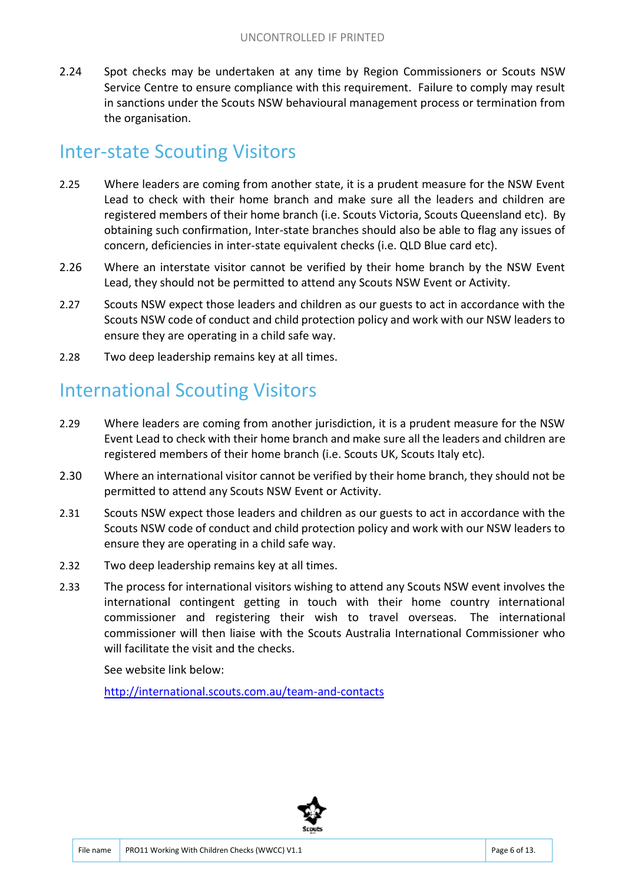2.24 Spot checks may be undertaken at any time by Region Commissioners or Scouts NSW Service Centre to ensure compliance with this requirement. Failure to comply may result in sanctions under the Scouts NSW behavioural management process or termination from the organisation.

#### Inter-state Scouting Visitors

- 2.25 Where leaders are coming from another state, it is a prudent measure for the NSW Event Lead to check with their home branch and make sure all the leaders and children are registered members of their home branch (i.e. Scouts Victoria, Scouts Queensland etc). By obtaining such confirmation, Inter-state branches should also be able to flag any issues of concern, deficiencies in inter-state equivalent checks (i.e. QLD Blue card etc).
- 2.26 Where an interstate visitor cannot be verified by their home branch by the NSW Event Lead, they should not be permitted to attend any Scouts NSW Event or Activity.
- 2.27 Scouts NSW expect those leaders and children as our guests to act in accordance with the Scouts NSW code of conduct and child protection policy and work with our NSW leaders to ensure they are operating in a child safe way.
- 2.28 Two deep leadership remains key at all times.

#### International Scouting Visitors

- 2.29 Where leaders are coming from another jurisdiction, it is a prudent measure for the NSW Event Lead to check with their home branch and make sure all the leaders and children are registered members of their home branch (i.e. Scouts UK, Scouts Italy etc).
- 2.30 Where an international visitor cannot be verified by their home branch, they should not be permitted to attend any Scouts NSW Event or Activity.
- 2.31 Scouts NSW expect those leaders and children as our guests to act in accordance with the Scouts NSW code of conduct and child protection policy and work with our NSW leaders to ensure they are operating in a child safe way.
- 2.32 Two deep leadership remains key at all times.
- 2.33 The process for international visitors wishing to attend any Scouts NSW event involves the international contingent getting in touch with their home country international commissioner and registering their wish to travel overseas. The international commissioner will then liaise with the Scouts Australia International Commissioner who will facilitate the visit and the checks.

See website link below:

http://international.scouts.com.au/team-and-contacts

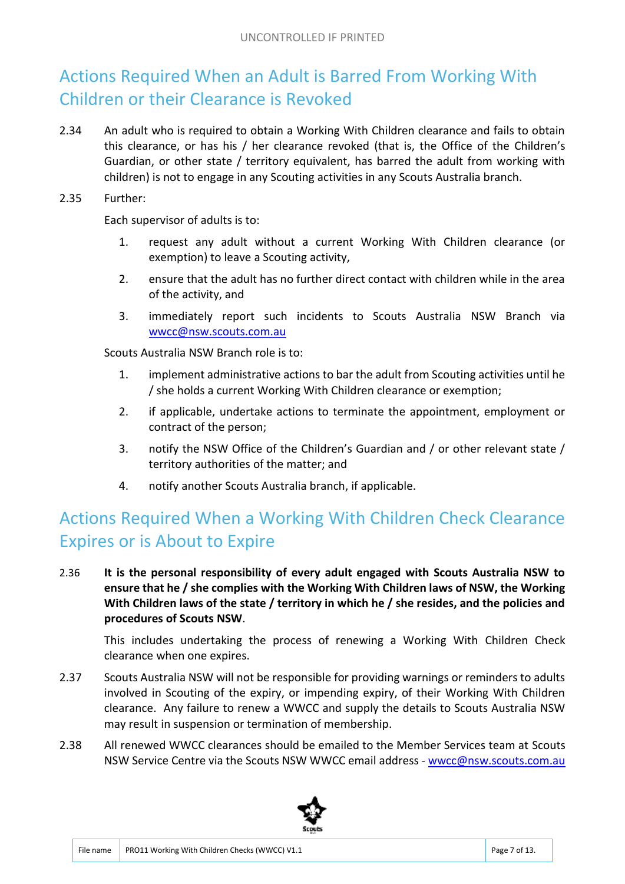#### Actions Required When an Adult is Barred From Working With Children or their Clearance is Revoked

2.34 An adult who is required to obtain a Working With Children clearance and fails to obtain this clearance, or has his / her clearance revoked (that is, the Office of the Children's Guardian, or other state / territory equivalent, has barred the adult from working with children) is not to engage in any Scouting activities in any Scouts Australia branch.

2.35 Further:

Each supervisor of adults is to:

- 1. request any adult without a current Working With Children clearance (or exemption) to leave a Scouting activity,
- 2. ensure that the adult has no further direct contact with children while in the area of the activity, and
- 3. immediately report such incidents to Scouts Australia NSW Branch via wwcc@nsw.scouts.com.au

Scouts Australia NSW Branch role is to:

- 1. implement administrative actions to bar the adult from Scouting activities until he / she holds a current Working With Children clearance or exemption;
- 2. if applicable, undertake actions to terminate the appointment, employment or contract of the person;
- 3. notify the NSW Office of the Children's Guardian and / or other relevant state / territory authorities of the matter; and
- 4. notify another Scouts Australia branch, if applicable.

#### Actions Required When a Working With Children Check Clearance Expires or is About to Expire

2.36 **It is the personal responsibility of every adult engaged with Scouts Australia NSW to ensure that he / she complies with the Working With Children laws of NSW, the Working With Children laws of the state / territory in which he / she resides, and the policies and procedures of Scouts NSW**.

This includes undertaking the process of renewing a Working With Children Check clearance when one expires.

- 2.37 Scouts Australia NSW will not be responsible for providing warnings or reminders to adults involved in Scouting of the expiry, or impending expiry, of their Working With Children clearance. Any failure to renew a WWCC and supply the details to Scouts Australia NSW may result in suspension or termination of membership.
- 2.38 All renewed WWCC clearances should be emailed to the Member Services team at Scouts NSW Service Centre via the Scouts NSW WWCC email address - wwcc@nsw.scouts.com.au

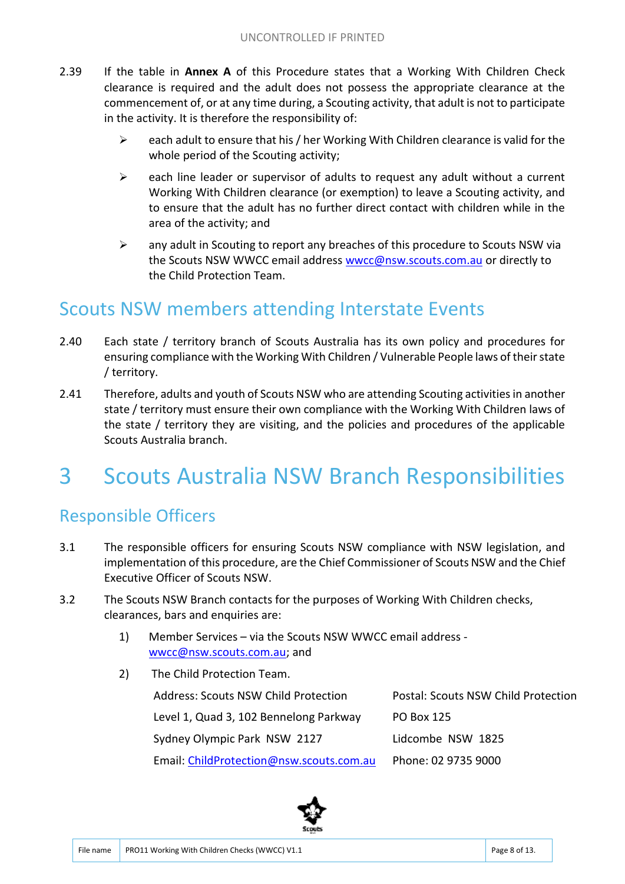- 2.39 If the table in **Annex A** of this Procedure states that a Working With Children Check clearance is required and the adult does not possess the appropriate clearance at the commencement of, or at any time during, a Scouting activity, that adult is not to participate in the activity. It is therefore the responsibility of:
	- $\triangleright$  each adult to ensure that his / her Working With Children clearance is valid for the whole period of the Scouting activity;
	- $\triangleright$  each line leader or supervisor of adults to request any adult without a current Working With Children clearance (or exemption) to leave a Scouting activity, and to ensure that the adult has no further direct contact with children while in the area of the activity; and
	- $\triangleright$  any adult in Scouting to report any breaches of this procedure to Scouts NSW via the Scouts NSW WWCC email address wwcc@nsw.scouts.com.au or directly to the Child Protection Team.

#### Scouts NSW members attending Interstate Events

- 2.40 Each state / territory branch of Scouts Australia has its own policy and procedures for ensuring compliance with the Working With Children / Vulnerable People laws of their state / territory.
- 2.41 Therefore, adults and youth of Scouts NSW who are attending Scouting activities in another state / territory must ensure their own compliance with the Working With Children laws of the state / territory they are visiting, and the policies and procedures of the applicable Scouts Australia branch.

## 3 Scouts Australia NSW Branch Responsibilities

#### Responsible Officers

- 3.1 The responsible officers for ensuring Scouts NSW compliance with NSW legislation, and implementation of this procedure, are the Chief Commissioner of Scouts NSW and the Chief Executive Officer of Scouts NSW.
- 3.2 The Scouts NSW Branch contacts for the purposes of Working With Children checks, clearances, bars and enquiries are:
	- 1) Member Services via the Scouts NSW WWCC email address wwcc@nsw.scouts.com.au; and
	- 2) The Child Protection Team.

| <b>Address: Scouts NSW Child Protection</b> | Postal: Scouts NSW Child Protection |
|---------------------------------------------|-------------------------------------|
| Level 1, Quad 3, 102 Bennelong Parkway      | PO Box 125                          |
| Sydney Olympic Park NSW 2127                | Lidcombe NSW 1825                   |
| Email: ChildProtection@nsw.scouts.com.au    | Phone: 02 9735 9000                 |

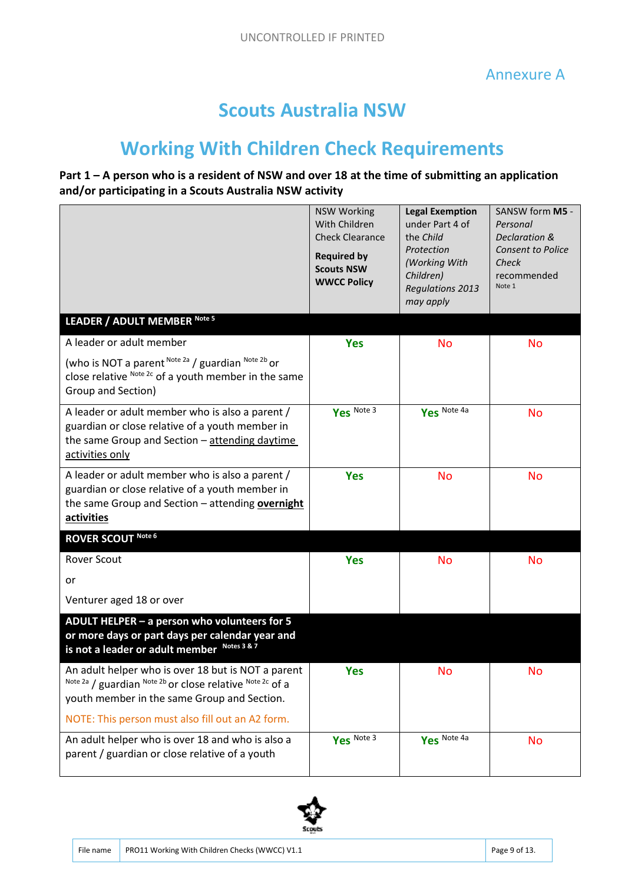#### **Scouts Australia NSW**

### **Working With Children Check Requirements**

#### **Part 1 – A person who is a resident of NSW and over 18 at the time of submitting an application and/or participating in a Scouts Australia NSW activity**

|                                                                                                                                                                                                                    | <b>NSW Working</b><br>With Children<br><b>Check Clearance</b><br><b>Required by</b><br><b>Scouts NSW</b><br><b>WWCC Policy</b> | <b>Legal Exemption</b><br>under Part 4 of<br>the Child<br>Protection<br>(Working With<br>Children)<br><b>Regulations 2013</b><br>may apply | SANSW form M5 -<br>Personal<br>Declaration &<br><b>Consent to Police</b><br>Check<br>recommended<br>Note 1 |
|--------------------------------------------------------------------------------------------------------------------------------------------------------------------------------------------------------------------|--------------------------------------------------------------------------------------------------------------------------------|--------------------------------------------------------------------------------------------------------------------------------------------|------------------------------------------------------------------------------------------------------------|
| LEADER / ADULT MEMBER Note 5                                                                                                                                                                                       |                                                                                                                                |                                                                                                                                            |                                                                                                            |
| A leader or adult member                                                                                                                                                                                           | <b>Yes</b>                                                                                                                     | <b>No</b>                                                                                                                                  | <b>No</b>                                                                                                  |
| (who is NOT a parent Note 2a / guardian Note 2b or<br>close relative Note 2c of a youth member in the same<br>Group and Section)                                                                                   |                                                                                                                                |                                                                                                                                            |                                                                                                            |
| A leader or adult member who is also a parent /<br>guardian or close relative of a youth member in<br>the same Group and Section - attending daytime<br>activities only                                            | Yes Note 3                                                                                                                     | Yes Note 4a                                                                                                                                | <b>No</b>                                                                                                  |
| A leader or adult member who is also a parent /<br>guardian or close relative of a youth member in<br>the same Group and Section - attending overnight<br>activities                                               | <b>Yes</b>                                                                                                                     | <b>No</b>                                                                                                                                  | <b>No</b>                                                                                                  |
| <b>ROVER SCOUT Note 6</b>                                                                                                                                                                                          |                                                                                                                                |                                                                                                                                            |                                                                                                            |
| <b>Rover Scout</b>                                                                                                                                                                                                 | <b>Yes</b>                                                                                                                     | <b>No</b>                                                                                                                                  | <b>No</b>                                                                                                  |
| or                                                                                                                                                                                                                 |                                                                                                                                |                                                                                                                                            |                                                                                                            |
| Venturer aged 18 or over                                                                                                                                                                                           |                                                                                                                                |                                                                                                                                            |                                                                                                            |
| ADULT HELPER - a person who volunteers for 5<br>or more days or part days per calendar year and<br>is not a leader or adult member Notes 3 & 7                                                                     |                                                                                                                                |                                                                                                                                            |                                                                                                            |
| An adult helper who is over 18 but is NOT a parent<br>Note 2a / guardian Note 2b or close relative Note 2c of a<br>youth member in the same Group and Section.<br>NOTE: This person must also fill out an A2 form. | <b>Yes</b>                                                                                                                     | <b>No</b>                                                                                                                                  | No                                                                                                         |
| An adult helper who is over 18 and who is also a<br>parent / guardian or close relative of a youth                                                                                                                 | Yes Note 3                                                                                                                     | Yes Note 4a                                                                                                                                | <b>No</b>                                                                                                  |

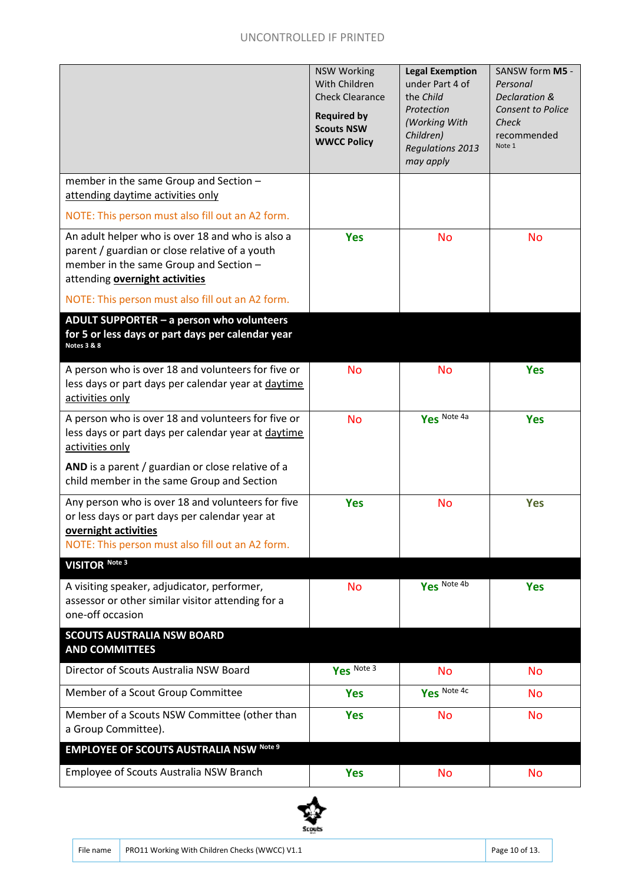|                                                                                                                                                                                                                                    | <b>NSW Working</b><br>With Children<br><b>Check Clearance</b><br><b>Required by</b><br><b>Scouts NSW</b><br><b>WWCC Policy</b> | <b>Legal Exemption</b><br>under Part 4 of<br>the Child<br>Protection<br>(Working With<br>Children)<br><b>Regulations 2013</b><br>may apply | SANSW form M5 -<br>Personal<br>Declaration &<br><b>Consent to Police</b><br>Check<br>recommended<br>Note 1 |
|------------------------------------------------------------------------------------------------------------------------------------------------------------------------------------------------------------------------------------|--------------------------------------------------------------------------------------------------------------------------------|--------------------------------------------------------------------------------------------------------------------------------------------|------------------------------------------------------------------------------------------------------------|
| member in the same Group and Section -<br>attending daytime activities only<br>NOTE: This person must also fill out an A2 form.                                                                                                    |                                                                                                                                |                                                                                                                                            |                                                                                                            |
| An adult helper who is over 18 and who is also a<br>parent / guardian or close relative of a youth<br>member in the same Group and Section -<br>attending overnight activities<br>NOTE: This person must also fill out an A2 form. | <b>Yes</b>                                                                                                                     | <b>No</b>                                                                                                                                  | <b>No</b>                                                                                                  |
| ADULT SUPPORTER - a person who volunteers<br>for 5 or less days or part days per calendar year<br><b>Notes 3 &amp; 8</b>                                                                                                           |                                                                                                                                |                                                                                                                                            |                                                                                                            |
| A person who is over 18 and volunteers for five or<br>less days or part days per calendar year at daytime<br>activities only                                                                                                       | <b>No</b>                                                                                                                      | <b>No</b>                                                                                                                                  | <b>Yes</b>                                                                                                 |
| A person who is over 18 and volunteers for five or<br>less days or part days per calendar year at daytime<br>activities only<br>AND is a parent / guardian or close relative of a<br>child member in the same Group and Section    | <b>No</b>                                                                                                                      | Yes Note 4a                                                                                                                                | <b>Yes</b>                                                                                                 |
| Any person who is over 18 and volunteers for five<br>or less days or part days per calendar year at<br>overnight activities<br>NOTE: This person must also fill out an A2 form.                                                    | <b>Yes</b>                                                                                                                     | <b>No</b>                                                                                                                                  | <b>Yes</b>                                                                                                 |
| <b>VISITOR Note 3</b>                                                                                                                                                                                                              |                                                                                                                                |                                                                                                                                            |                                                                                                            |
| A visiting speaker, adjudicator, performer,<br>assessor or other similar visitor attending for a<br>one-off occasion                                                                                                               | <b>No</b>                                                                                                                      | Yes Note 4b                                                                                                                                | <b>Yes</b>                                                                                                 |
| <b>SCOUTS AUSTRALIA NSW BOARD</b><br><b>AND COMMITTEES</b>                                                                                                                                                                         |                                                                                                                                |                                                                                                                                            |                                                                                                            |
| Director of Scouts Australia NSW Board                                                                                                                                                                                             | Yes Note 3                                                                                                                     | <b>No</b>                                                                                                                                  | <b>No</b>                                                                                                  |
| Member of a Scout Group Committee                                                                                                                                                                                                  | <b>Yes</b>                                                                                                                     | Yes Note 4c                                                                                                                                | <b>No</b>                                                                                                  |
| Member of a Scouts NSW Committee (other than<br>a Group Committee).                                                                                                                                                                | <b>Yes</b>                                                                                                                     | <b>No</b>                                                                                                                                  | <b>No</b>                                                                                                  |
| <b>EMPLOYEE OF SCOUTS AUSTRALIA NSW Note 9</b>                                                                                                                                                                                     |                                                                                                                                |                                                                                                                                            |                                                                                                            |
| Employee of Scouts Australia NSW Branch                                                                                                                                                                                            | <b>Yes</b>                                                                                                                     | <b>No</b>                                                                                                                                  | <b>No</b>                                                                                                  |

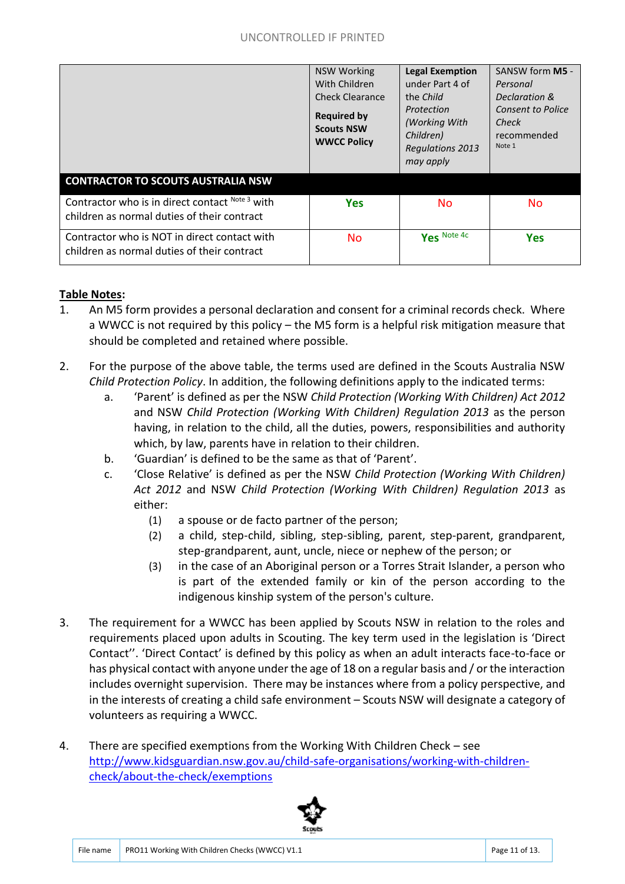|                                                                                                | <b>NSW Working</b><br>With Children<br>Check Clearance<br><b>Required by</b><br><b>Scouts NSW</b><br><b>WWCC Policy</b> | <b>Legal Exemption</b><br>under Part 4 of<br>the Child<br>Protection<br>(Working With<br>Children)<br><b>Regulations 2013</b><br>may apply | SANSW form M5 -<br>Personal<br>Declaration &<br>Consent to Police<br>Check<br>recommended<br>Note 1 |
|------------------------------------------------------------------------------------------------|-------------------------------------------------------------------------------------------------------------------------|--------------------------------------------------------------------------------------------------------------------------------------------|-----------------------------------------------------------------------------------------------------|
| <b>CONTRACTOR TO SCOUTS AUSTRALIA NSW</b>                                                      |                                                                                                                         |                                                                                                                                            |                                                                                                     |
| Contractor who is in direct contact Note 3 with<br>children as normal duties of their contract | <b>Yes</b>                                                                                                              | <b>No</b>                                                                                                                                  | <b>No</b>                                                                                           |
| Contractor who is NOT in direct contact with<br>children as normal duties of their contract    | <b>No</b>                                                                                                               | Yes Note 4c                                                                                                                                | <b>Yes</b>                                                                                          |

#### **Table Notes:**

- 1. An M5 form provides a personal declaration and consent for a criminal records check. Where a WWCC is not required by this policy – the M5 form is a helpful risk mitigation measure that should be completed and retained where possible.
- 2. For the purpose of the above table, the terms used are defined in the Scouts Australia NSW *Child Protection Policy*. In addition, the following definitions apply to the indicated terms:
	- a. 'Parent' is defined as per the NSW *Child Protection (Working With Children) Act 2012* and NSW *Child Protection (Working With Children) Regulation 2013* as the person having, in relation to the child, all the duties, powers, responsibilities and authority which, by law, parents have in relation to their children.
	- b. 'Guardian' is defined to be the same as that of 'Parent'.
	- c. 'Close Relative' is defined as per the NSW *Child Protection (Working With Children) Act 2012* and NSW *Child Protection (Working With Children) Regulation 2013* as either:
		- (1) a spouse or de facto partner of the person;
		- (2) a child, step-child, sibling, step-sibling, parent, step-parent, grandparent, step-grandparent, aunt, uncle, niece or nephew of the person; or
		- (3) in the case of an Aboriginal person or a Torres Strait Islander, a person who is part of the extended family or kin of the person according to the indigenous kinship system of the person's culture.
- 3. The requirement for a WWCC has been applied by Scouts NSW in relation to the roles and requirements placed upon adults in Scouting. The key term used in the legislation is 'Direct Contact''. 'Direct Contact' is defined by this policy as when an adult interacts face-to-face or has physical contact with anyone under the age of 18 on a regular basis and / or the interaction includes overnight supervision. There may be instances where from a policy perspective, and in the interests of creating a child safe environment – Scouts NSW will designate a category of volunteers as requiring a WWCC.
- 4. There are specified exemptions from the Working With Children Check see http://www.kidsguardian.nsw.gov.au/child-safe-organisations/working-with-childrencheck/about-the-check/exemptions

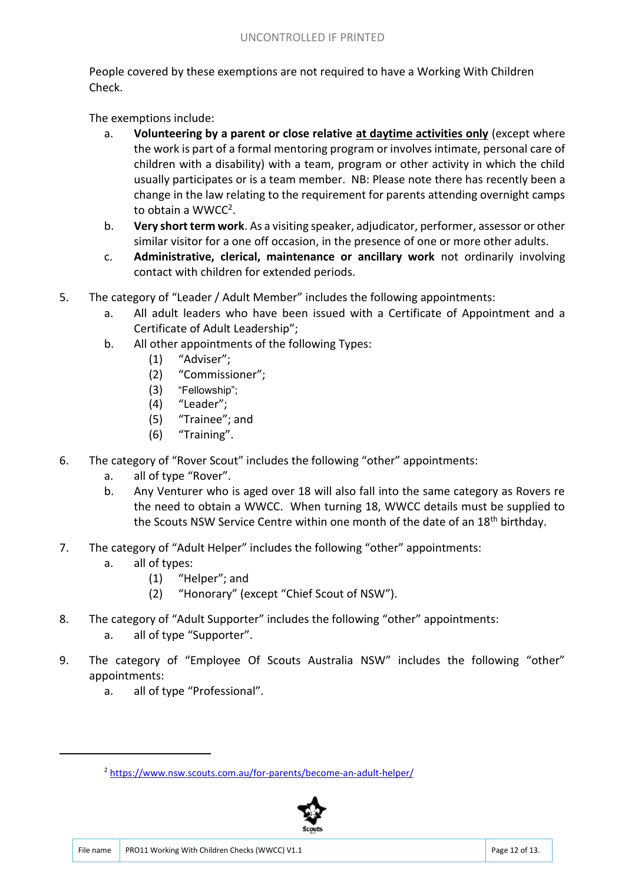People covered by these exemptions are not required to have a Working With Children Check.

The exemptions include:

- a. **Volunteering by a parent or close relative at daytime activities only** (except where the work is part of a formal mentoring program or involves intimate, personal care of children with a disability) with a team, program or other activity in which the child usually participates or is a team member. NB: Please note there has recently been a change in the law relating to the requirement for parents attending overnight camps to obtain a WWCC<sup>2</sup>.
- b. **Very short term work**. As a visiting speaker, adjudicator, performer, assessor or other similar visitor for a one off occasion, in the presence of one or more other adults.
- c. **Administrative, clerical, maintenance or ancillary work** not ordinarily involving contact with children for extended periods.
- 5. The category of "Leader / Adult Member" includes the following appointments:
	- a. All adult leaders who have been issued with a Certificate of Appointment and a Certificate of Adult Leadership";
	- b. All other appointments of the following Types:
		- (1) "Adviser";
		- (2) "Commissioner";
		- (3) "Fellowship";
		- (4) "Leader";
		- (5) "Trainee"; and
		- (6) "Training".
- 6. The category of "Rover Scout" includes the following "other" appointments:
	- a. all of type "Rover".
	- b. Any Venturer who is aged over 18 will also fall into the same category as Rovers re the need to obtain a WWCC. When turning 18, WWCC details must be supplied to the Scouts NSW Service Centre within one month of the date of an 18<sup>th</sup> birthday.
- 7. The category of "Adult Helper" includes the following "other" appointments:
	- a. all of types:

.

- (1) "Helper"; and
- (2) "Honorary" (except "Chief Scout of NSW").
- 8. The category of "Adult Supporter" includes the following "other" appointments: a. all of type "Supporter".
- 9. The category of "Employee Of Scouts Australia NSW" includes the following "other" appointments:
	- a. all of type "Professional".

<sup>2</sup> https://www.nsw.scouts.com.au/for-parents/become-an-adult-helper/